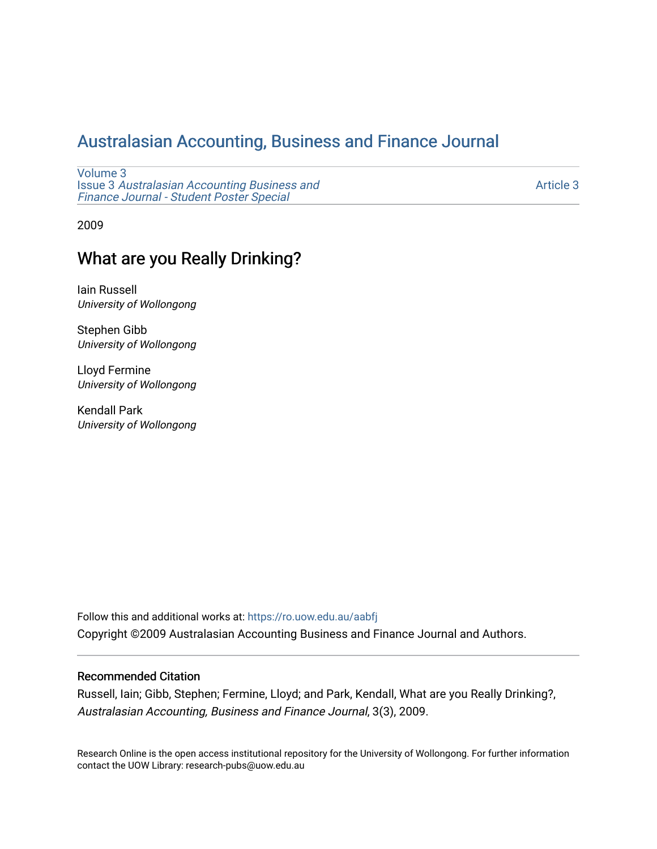# [Australasian Accounting, Business and Finance Journal](https://ro.uow.edu.au/aabfj)

[Volume 3](https://ro.uow.edu.au/aabfj/vol3) Issue 3 [Australasian Accounting Business and](https://ro.uow.edu.au/aabfj/vol3/iss3) [Finance Journal - Student Poster Special](https://ro.uow.edu.au/aabfj/vol3/iss3)

[Article 3](https://ro.uow.edu.au/aabfj/vol3/iss3/3) 

2009

# What are you Really Drinking?

Iain Russell University of Wollongong

Stephen Gibb University of Wollongong

Lloyd Fermine University of Wollongong

Kendall Park University of Wollongong

Follow this and additional works at: [https://ro.uow.edu.au/aabfj](https://ro.uow.edu.au/aabfj?utm_source=ro.uow.edu.au%2Faabfj%2Fvol3%2Fiss3%2F3&utm_medium=PDF&utm_campaign=PDFCoverPages) Copyright ©2009 Australasian Accounting Business and Finance Journal and Authors.

#### Recommended Citation

Russell, Iain; Gibb, Stephen; Fermine, Lloyd; and Park, Kendall, What are you Really Drinking?, Australasian Accounting, Business and Finance Journal, 3(3), 2009.

Research Online is the open access institutional repository for the University of Wollongong. For further information contact the UOW Library: research-pubs@uow.edu.au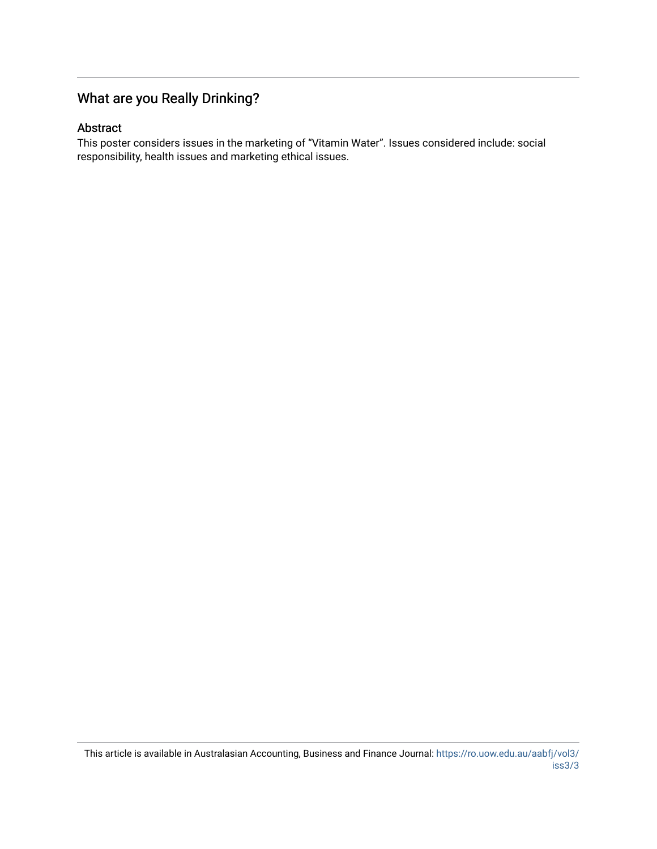## What are you Really Drinking?

#### Abstract

This poster considers issues in the marketing of "Vitamin Water". Issues considered include: social responsibility, health issues and marketing ethical issues.

This article is available in Australasian Accounting, Business and Finance Journal: [https://ro.uow.edu.au/aabfj/vol3/](https://ro.uow.edu.au/aabfj/vol3/iss3/3) [iss3/3](https://ro.uow.edu.au/aabfj/vol3/iss3/3)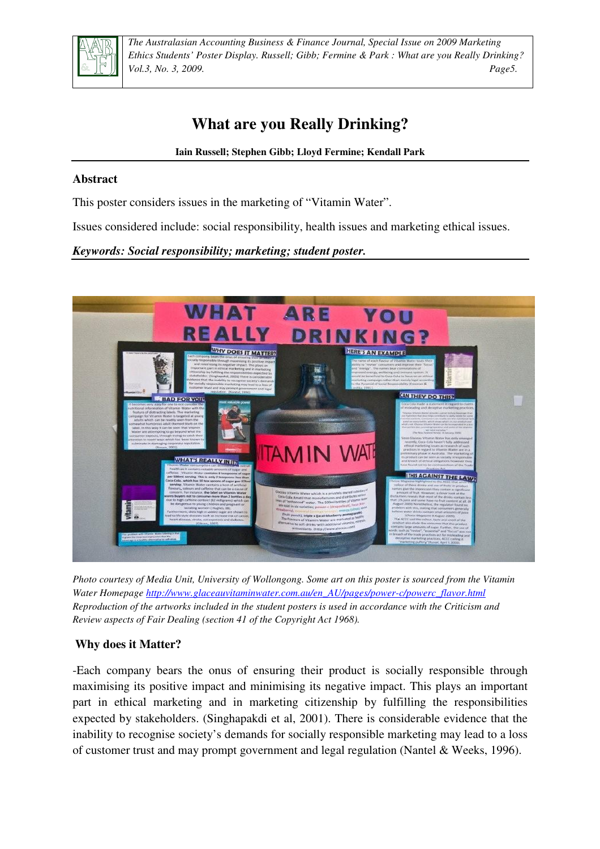

*The Australasian Accounting Business & Finance Journal, Special Issue on 2009 Marketing Ethics Students' Poster Display. Russell; Gibb; Fermine & Park : What are you Really Drinking? Vol.3, No. 3, 2009. Page5.*

# **What are you Really Drinking?**

**Iain Russell; Stephen Gibb; Lloyd Fermine; Kendall Park** 

### **Abstract**

This poster considers issues in the marketing of "Vitamin Water".

Issues considered include: social responsibility, health issues and marketing ethical issues.

#### *Keywords: Social responsibility; marketing; student poster.*



*Photo courtesy of Media Unit, University of Wollongong. Some art on this poster is sourced from the Vitamin Water Homepage http://www.glaceauvitaminwater.com.au/en\_AU/pages/power-c/powerc\_flavor.html Reproduction of the artworks included in the student posters is used in accordance with the Criticism and Review aspects of Fair Dealing (section 41 of the Copyright Act 1968).* 

### **Why does it Matter?**

-Each company bears the onus of ensuring their product is socially responsible through maximising its positive impact and minimising its negative impact. This plays an important part in ethical marketing and in marketing citizenship by fulfilling the responsibilities expected by stakeholders. (Singhapakdi et al, 2001). There is considerable evidence that the inability to recognise society's demands for socially responsible marketing may lead to a loss of customer trust and may prompt government and legal regulation (Nantel & Weeks, 1996).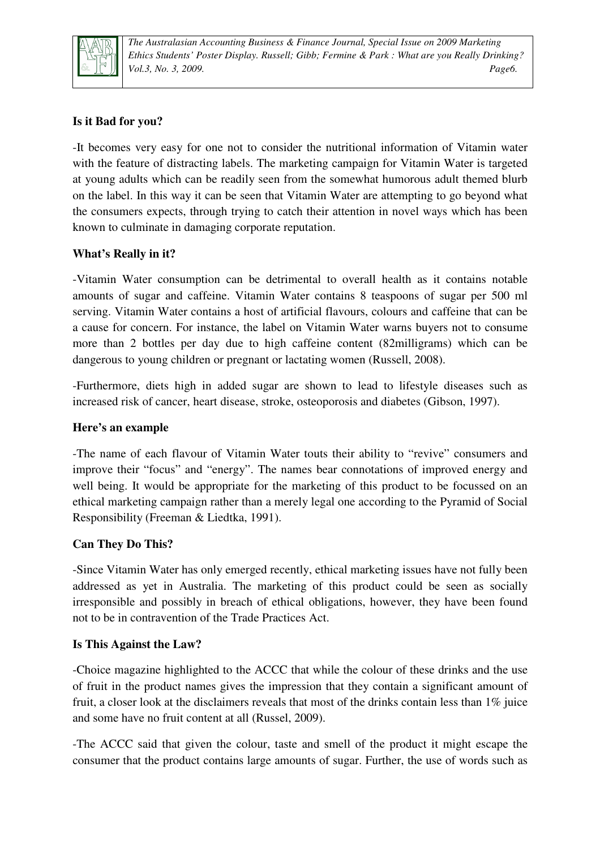

*The Australasian Accounting Business & Finance Journal, Special Issue on 2009 Marketing Ethics Students' Poster Display. Russell; Gibb; Fermine & Park : What are you Really Drinking? Vol.3, No. 3, 2009. Page6.*

## **Is it Bad for you?**

-It becomes very easy for one not to consider the nutritional information of Vitamin water with the feature of distracting labels. The marketing campaign for Vitamin Water is targeted at young adults which can be readily seen from the somewhat humorous adult themed blurb on the label. In this way it can be seen that Vitamin Water are attempting to go beyond what the consumers expects, through trying to catch their attention in novel ways which has been known to culminate in damaging corporate reputation.

### **What's Really in it?**

-Vitamin Water consumption can be detrimental to overall health as it contains notable amounts of sugar and caffeine. Vitamin Water contains 8 teaspoons of sugar per 500 ml serving. Vitamin Water contains a host of artificial flavours, colours and caffeine that can be a cause for concern. For instance, the label on Vitamin Water warns buyers not to consume more than 2 bottles per day due to high caffeine content (82milligrams) which can be dangerous to young children or pregnant or lactating women (Russell, 2008).

-Furthermore, diets high in added sugar are shown to lead to lifestyle diseases such as increased risk of cancer, heart disease, stroke, osteoporosis and diabetes (Gibson, 1997).

#### **Here's an example**

-The name of each flavour of Vitamin Water touts their ability to "revive" consumers and improve their "focus" and "energy". The names bear connotations of improved energy and well being. It would be appropriate for the marketing of this product to be focussed on an ethical marketing campaign rather than a merely legal one according to the Pyramid of Social Responsibility (Freeman & Liedtka, 1991).

### **Can They Do This?**

-Since Vitamin Water has only emerged recently, ethical marketing issues have not fully been addressed as yet in Australia. The marketing of this product could be seen as socially irresponsible and possibly in breach of ethical obligations, however, they have been found not to be in contravention of the Trade Practices Act.

#### **Is This Against the Law?**

-Choice magazine highlighted to the ACCC that while the colour of these drinks and the use of fruit in the product names gives the impression that they contain a significant amount of fruit, a closer look at the disclaimers reveals that most of the drinks contain less than 1% juice and some have no fruit content at all (Russel, 2009).

-The ACCC said that given the colour, taste and smell of the product it might escape the consumer that the product contains large amounts of sugar. Further, the use of words such as